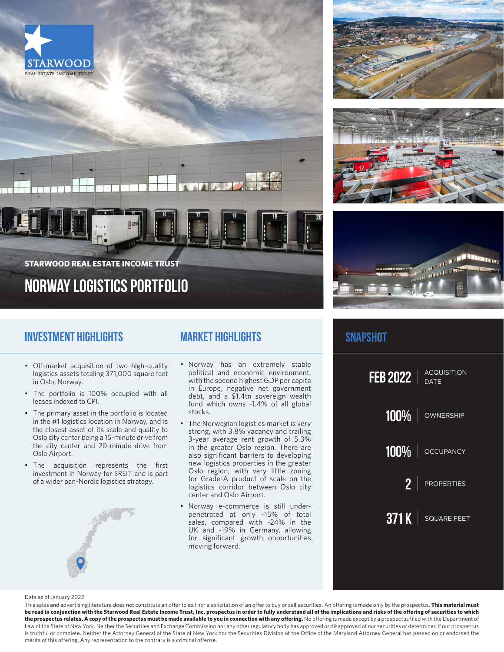







# **Norway Logistics Portfolio STARWOOD REAL ESTATE INCOME TRUST**

## **Investment Highlights**

## **Market Highlights**

A Company

- Off-market acquisition of two high-quality logistics assets totaling 371,000 square feet in Oslo, Norway.
- The portfolio is 100% occupied with all leases indexed to CPI.
- The primary asset in the portfolio is located in the #1 logistics location in Norway, and is the closest asset of its scale and quality to Oslo city center being a 15-minute drive from the city center and 20-minute drive from Oslo Airport.
- The acquisition represents the first investment in Norway for SREIT and is part of a wider pan-Nordic logistics strategy.



- Norway has an extremely stable political and economic environment, with the second highest GDP per capita in Europe, negative net government debt, and a \$1.4tn sovereign wealth fund which owns ~1.4% of all global stocks.
- The Norwegian logistics market is very strong, with 3.8% vacancy and trailing 3-year average rent growth of 5.3% in the greater Oslo region. There are also significant barriers to developing new logistics properties in the greater Oslo region, with very little zoning for Grade-A product of scale on the logistics corridor between Oslo city center and Oslo Airport.
- Norway e-commerce is still underpenetrated at only ~15% of total sales, compared with ~24% in the UK and ~19% in Germany, allowing for significant growth opportunities moving forward.

### **snapshot**



#### Data as of January 2022

This sales and advertising literature does not constitute an offer to sell nor a solicitation of an offer to buy or sell securities. An offering is made only by the prospectus. **This material must be read in conjunction with the Starwood Real Estate Income Trust, Inc. prospectus in order to fully understand all of the implications and risks of the offering of securities to which**  the prospectus relates. A copy of the prospectus must be made available to you in connection with any offering. No offering is made except by a prospectus filed with the Department of Law of the State of New York. Neither the Securities and Exchange Commission nor any other regulatory body has approved or disapproved of our securities or determined if our prospectus is truthful or complete. Neither the Attorney General of the State of New York nor the Securities Division of the Office of the Maryland Attorney General has passed on or endorsed the merits of this offering. Any representation to the contrary is a criminal offense.